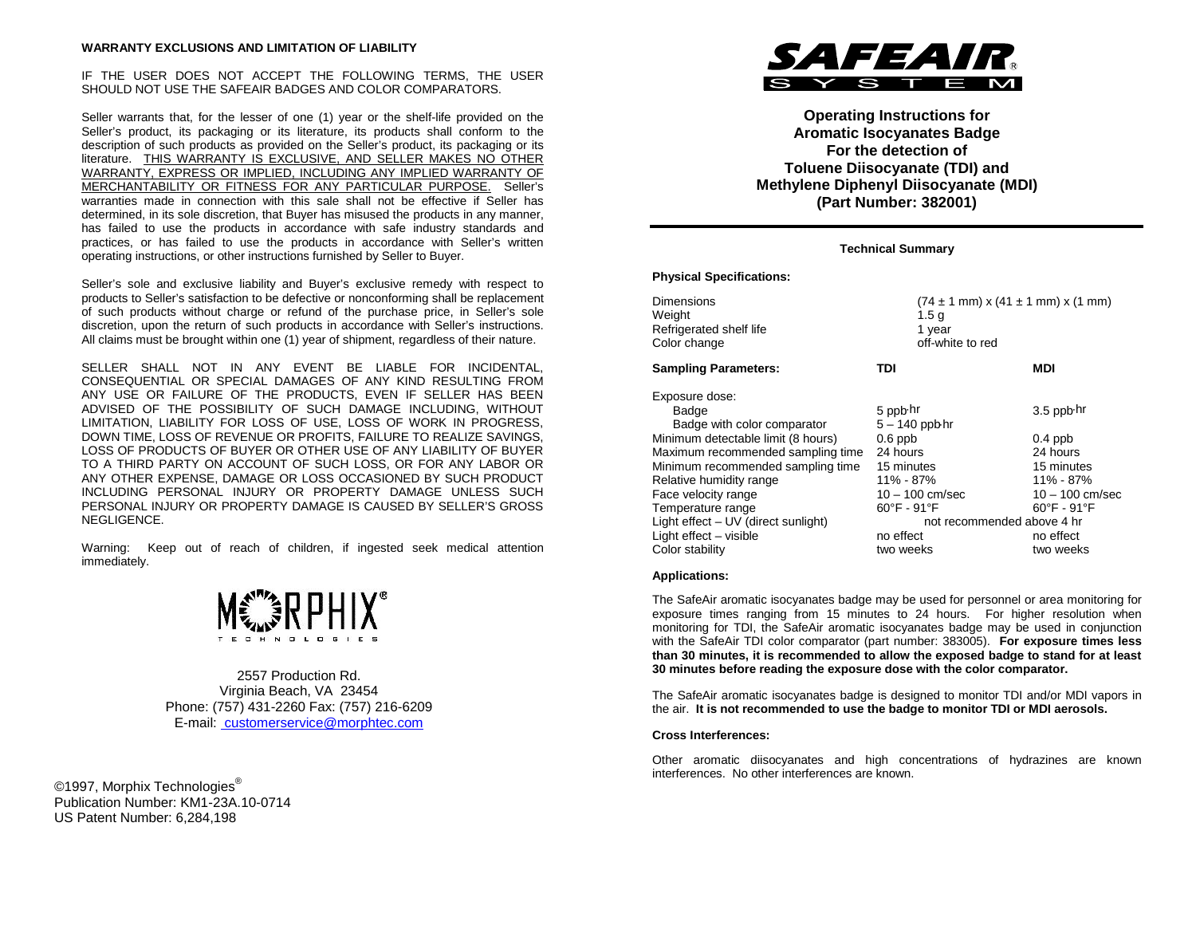IF THE USER DOES NOT ACCEPT THE FOLLOWING TERMS, THE USER SHOULD NOT USE THE SAFEAIR BADGES AND COLOR COMPARATORS.

Seller warrants that, for the lesser of one (1) year or the shelf-life provided on the Seller's product, its packaging or its literature, its products shall conform to the description of such products as provided on the Seller's product, its packaging or its literature. THIS WARRANTY IS EXCLUSIVE, AND SELLER MAKES NO OTHER WARRANTY, EXPRESS OR IMPLIED, INCLUDING ANY IMPLIED WARRANTY OF MERCHANTABILITY OR FITNESS FOR ANY PARTICULAR PURPOSE. Seller's warranties made in connection with this sale shall not be effective if Seller has determined, in its sole discretion, that Buyer has misused the products in any manner, has failed to use the products in accordance with safe industry standards and practices, or has failed to use the products in accordance with Seller's written operating instructions, or other instructions furnished by Seller to Buyer.

Seller's sole and exclusive liability and Buyer's exclusive remedy with respect to products to Seller's satisfaction to be defective or nonconforming shall be replacement of such products without charge or refund of the purchase price, in Seller's sole discretion, upon the return of such products in accordance with Seller's instructions. All claims must be brought within one (1) year of shipment, regardless of their nature.

SELLER SHALL NOT IN ANY EVENT BE LIABLE FOR INCIDENTAL, CONSEQUENTIAL OR SPECIAL DAMAGES OF ANY KIND RESULTING FROM ANY USE OR FAILURE OF THE PRODUCTS, EVEN IF SELLER HAS BEEN ADVISED OF THE POSSIBILITY OF SUCH DAMAGE INCLUDING, WITHOUT LIMITATION, LIABILITY FOR LOSS OF USE, LOSS OF WORK IN PROGRESS, DOWN TIME, LOSS OF REVENUE OR PROFITS, FAILURE TO REALIZE SAVINGS, LOSS OF PRODUCTS OF BUYER OR OTHER USE OF ANY LIABILITY OF BUYER TO A THIRD PARTY ON ACCOUNT OF SUCH LOSS, OR FOR ANY LABOR OR ANY OTHER EXPENSE, DAMAGE OR LOSS OCCASIONED BY SUCH PRODUCT INCLUDING PERSONAL INJURY OR PROPERTY DAMAGE UNLESS SUCH PERSONAL INJURY OR PROPERTY DAMAGE IS CAUSED BY SELLER'S GROSS NEGLIGENCE.

Warning: Keep out of reach of children, if ingested seek medical attention immediately.



2557 Production Rd. Virginia Beach, VA 23454 Phone: (757) 431-2260 Fax: (757) 216-6209 E-mail: customerservice@morphtec.com

©1997, Morphix Technologies<sup>®</sup> Publication Number: KM1-23A.10-0714 US Patent Number: 6,284,198



**Operating Instructions for Aromatic Isocyanates Badge For the detection of Toluene Diisocyanate (TDI) and Methylene Diphenyl Diisocyanate (MDI) (Part Number: 382001)**

#### **Technical Summary**

#### **Physical Specifications:**

| <b>Dimensions</b><br>Weight<br>Refrigerated shelf life<br>Color change                                                                                                                                                                                                                                                            | $(74 \pm 1 \text{ mm}) \times (41 \pm 1 \text{ mm}) \times (1 \text{ mm})$<br>1.5 <sub>g</sub><br>1 year<br>off-white to red                                                                      |                                                                                                                                                   |
|-----------------------------------------------------------------------------------------------------------------------------------------------------------------------------------------------------------------------------------------------------------------------------------------------------------------------------------|---------------------------------------------------------------------------------------------------------------------------------------------------------------------------------------------------|---------------------------------------------------------------------------------------------------------------------------------------------------|
| <b>Sampling Parameters:</b>                                                                                                                                                                                                                                                                                                       | TDI                                                                                                                                                                                               | MDI                                                                                                                                               |
| Exposure dose:<br>Badge<br>Badge with color comparator<br>Minimum detectable limit (8 hours)<br>Maximum recommended sampling time<br>Minimum recommended sampling time<br>Relative humidity range<br>Face velocity range<br>Temperature range<br>Light effect - UV (direct sunlight)<br>Light effect - visible<br>Color stability | 5 ppb hr<br>$5 - 140$ ppb hr<br>$0.6$ ppb<br>24 hours<br>15 minutes<br>11% - 87%<br>$10 - 100$ cm/sec<br>$60^{\circ}$ F - 91 $^{\circ}$ F<br>not recommended above 4 hr<br>no effect<br>two weeks | 3.5 ppb hr<br>$0.4$ ppb<br>24 hours<br>15 minutes<br>11% - 87%<br>$10 - 100$ cm/sec<br>$60^{\circ}$ F - 91 $^{\circ}$ F<br>no effect<br>two weeks |

#### **Applications:**

The SafeAir aromatic isocyanates badge may be used for personnel or area monitoring for exposure times ranging from 15 minutes to 24 hours. For higher resolution when monitoring for TDI, the SafeAir aromatic isocyanates badge may be used in conjunction with the SafeAir TDI color comparator (part number: 383005). **For exposure times less than 30 minutes, it is recommended to allow the exposed badge to stand for at least 30 minutes before reading the exposure dose with the color comparator.**

The SafeAir aromatic isocyanates badge is designed to monitor TDI and/or MDI vapors in the air. **It is not recommended to use the badge to monitor TDI or MDI aerosols.**

#### **Cross Interferences:**

Other aromatic diisocyanates and high concentrations of hydrazines are known interferences. No other interferences are known.